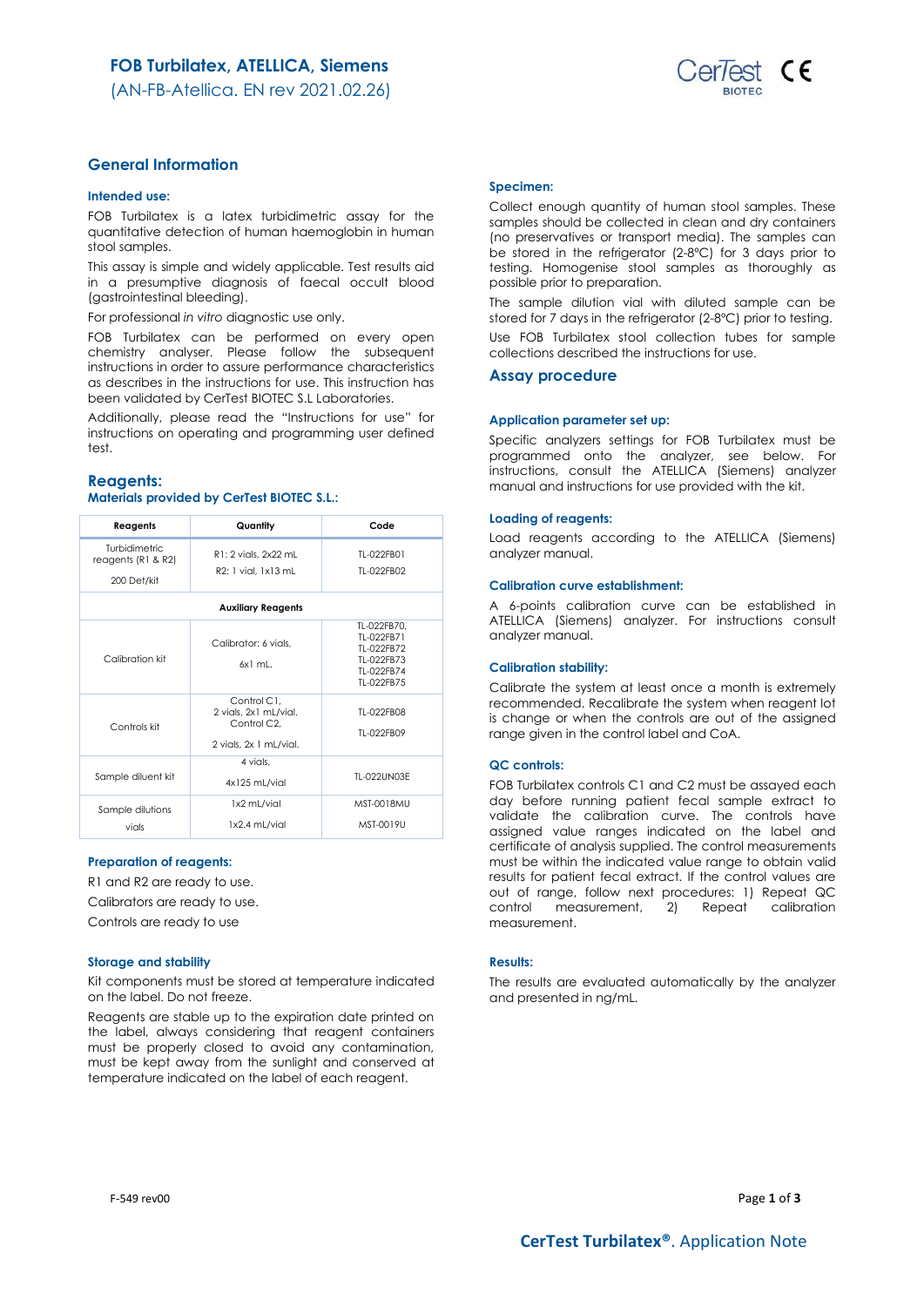$est$  CE

(AN-FB-Atellica. EN rev 2021.02.26)

# **General Information**

### **Intended use:**

FOB Turbilatex is a latex turbidimetric assay for the quantitative detection of human haemoglobin in human stool samples.

This assay is simple and widely applicable. Test results aid in a presumptive diagnosis of faecal occult blood (gastrointestinal bleeding).

For professional *in vitro* diagnostic use only.

FOB Turbilatex can be performed on every open chemistry analyser. Please follow the subsequent instructions in order to assure performance characteristics as describes in the instructions for use. This instruction has been validated by CerTest BIOTEC S.L Laboratories.

Additionally, please read the "Instructions for use" for instructions on operating and programming user defined test.

### **Reagents:**

# **Materials provided by CerTest BIOTEC S.L.:**

| Reagents                                                  | Quantity                                                                                   | Code                                                                              |  |  |  |
|-----------------------------------------------------------|--------------------------------------------------------------------------------------------|-----------------------------------------------------------------------------------|--|--|--|
| <b>Turbidimetric</b><br>reagents (R1 & R2)<br>200 Det/kit | R1: 2 vials, 2x22 mL<br>R2: 1 vial. 1x13 mL                                                | TI-022FB01<br>TI-022FB02                                                          |  |  |  |
| <b>Auxiliary Reagents</b>                                 |                                                                                            |                                                                                   |  |  |  |
| Calibration kit                                           | Calibrator: 6 vials.<br>$6x1$ ml.                                                          | TL-022FB70.<br>TI-022FB71<br>TI-022FB72<br>TI-022FB73<br>TI-022FB74<br>TI-022FB75 |  |  |  |
| Controls kit                                              | Control C1.<br>2 vials, 2x1 mL/vial.<br>Control C <sub>2</sub> .<br>2 vials, 2x 1 mL/vial. | TI-022FB08<br>TI-022FB09                                                          |  |  |  |
| Sample diluent kit                                        | 4 vials.<br>4x125 mL/vial                                                                  | TI-022UN03F                                                                       |  |  |  |
| Sample dilutions<br>vials                                 | 1x2 mL/vial<br>1x2.4 mL/vial                                                               | <b>MST-0018MU</b><br>MST-0019U                                                    |  |  |  |

#### **Preparation of reagents:**

R1 and R2 are ready to use.

Calibrators are ready to use.

Controls are ready to use

### **Storage and stability**

Kit components must be stored at temperature indicated on the label. Do not freeze.

Reagents are stable up to the expiration date printed on the label, always considering that reagent containers must be properly closed to avoid any contamination, must be kept away from the sunlight and conserved at temperature indicated on the label of each reagent.

# **Specimen:**

Collect enough quantity of human stool samples. These samples should be collected in clean and dry containers (no preservatives or transport media). The samples can be stored in the refrigerator (2-8ºC) for 3 days prior to testing. Homogenise stool samples as thoroughly as possible prior to preparation.

The sample dilution vial with diluted sample can be stored for 7 days in the refrigerator (2-8°C) prior to testing. Use FOB Turbilatex stool collection tubes for sample

collections described the instructions for use.

# **Assay procedure**

#### **Application parameter set up:**

Specific analyzers settings for FOB Turbilatex must be programmed onto the analyzer, see below. For instructions, consult the ATELLICA (Siemens) analyzer manual and instructions for use provided with the kit.

### **Loading of reagents:**

Load reagents according to the ATELLICA (Siemens) analyzer manual.

#### **Calibration curve establishment:**

A 6-points calibration curve can be established in ATELLICA (Siemens) analyzer. For instructions consult analyzer manual.

#### **Calibration stability:**

Calibrate the system at least once a month is extremely recommended. Recalibrate the system when reagent lot is change or when the controls are out of the assigned range given in the control label and CoA.

### **QC controls:**

FOB Turbilatex controls C1 and C2 must be assayed each day before running patient fecal sample extract to validate the calibration curve. The controls have assigned value ranges indicated on the label and certificate of analysis supplied. The control measurements must be within the indicated value range to obtain valid results for patient fecal extract. If the control values are out of range, follow next procedures: 1) Repeat QC control measurement, 2) Repeat calibration measurement.

### **Results:**

The results are evaluated automatically by the analyzer and presented in ng/mL.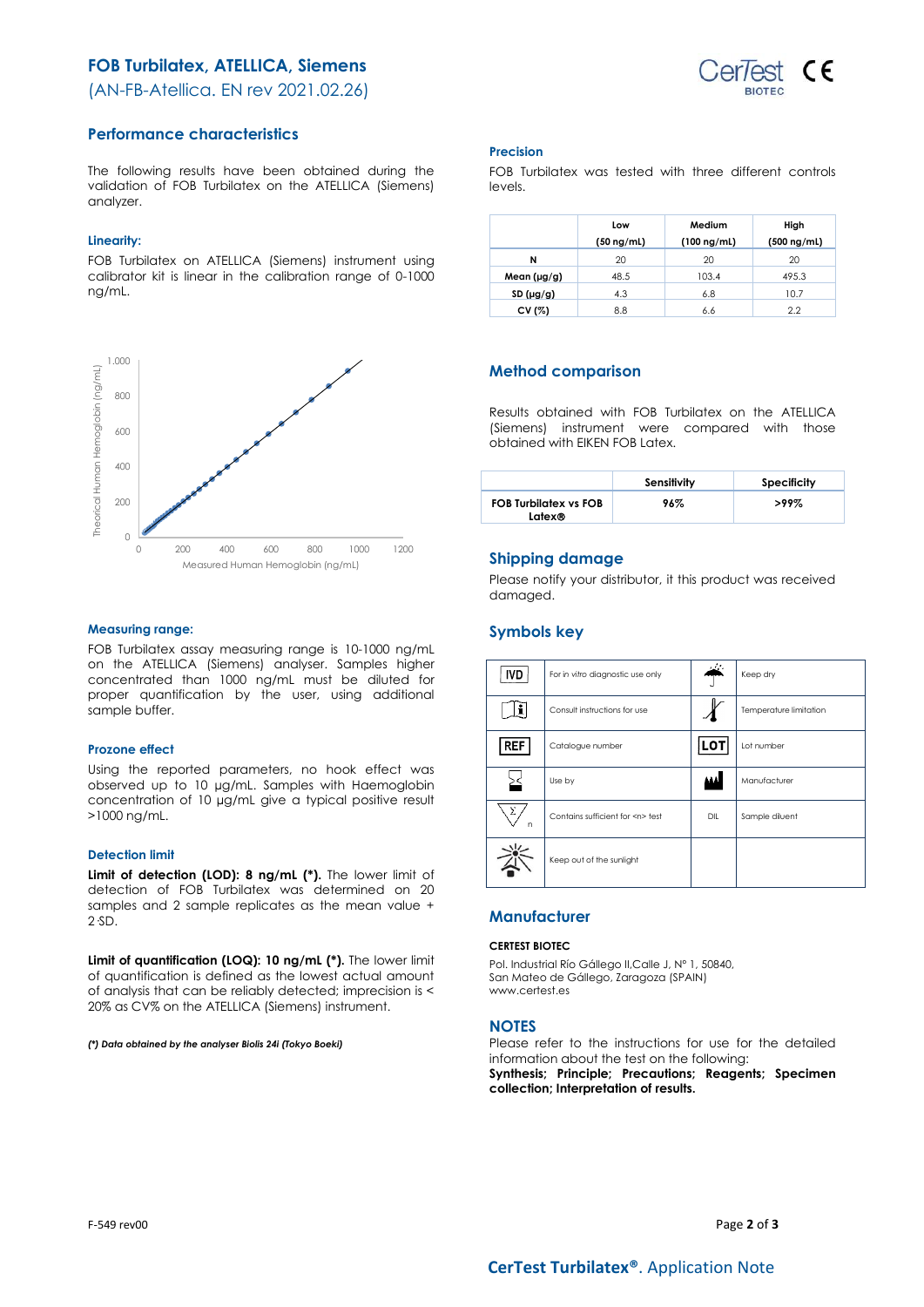# **FOB Turbilatex, ATELLICA, Siemens**

(AN-FB-Atellica. EN rev 2021.02.26)



# **Performance characteristics**

The following results have been obtained during the validation of FOB Turbilatex on the ATELLICA (Siemens) analyzer.

### **Linearity:**

FOB Turbilatex on ATELLICA (Siemens) instrument using calibrator kit is linear in the calibration range of 0-1000 ng/mL.



### **Measuring range:**

FOB Turbilatex assay measuring range is 10-1000 ng/mL on the ATELLICA (Siemens) analyser. Samples higher concentrated than 1000 ng/mL must be diluted for proper quantification by the user, using additional sample buffer.

### **Prozone effect**

Using the reported parameters, no hook effect was observed up to 10 µg/mL. Samples with Haemoglobin concentration of 10 µg/mL give a typical positive result >1000 ng/mL.

### **Detection limit**

**Limit of detection (LOD): 8 ng/mL (\*).** The lower limit of detection of FOB Turbilatex was determined on 20 samples and 2 sample replicates as the mean value + 2·SD.

**Limit of quantification (LOQ): 10 ng/mL (\*).** The lower limit of quantification is defined as the lowest actual amount of analysis that can be reliably detected; imprecision is < 20% as CV% on the ATELLICA (Siemens) instrument.

*(\*) Data obtained by the analyser Biolis 24i (Tokyo Boeki)*

#### **Precision**

FOB Turbilatex was tested with three different controls levels.

|                  | Low             | Medium           | High             |
|------------------|-----------------|------------------|------------------|
|                  | $(50 \nmid mL)$ | $(100 \nmid mL)$ | $(500 \nmid mL)$ |
| N                | 20              | 20               | 20               |
| Mean $(\mu g/g)$ | 48.5            | 103.4            | 495.3            |
| SD(µg/g)         | 4.3             | 6.8              | 10.7             |
| CV (%)           | 8.8             | 6.6              | 2.2              |

# **Method comparison**

Results obtained with FOB Turbilatex on the ATELLICA (Siemens) instrument were compared with those obtained with EIKEN FOB Latex.

|                                        | Sensitivity | Specificity |
|----------------------------------------|-------------|-------------|
| <b>FOB Turbilatex vs FOB</b><br>Latex® | 96%         | $>99\%$     |

# **Shipping damage**

Please notify your distributor, it this product was received damaged.

# **Symbols key**

| <b>IVD</b> | For in vitro diagnostic use only     |            | Keep dry               |
|------------|--------------------------------------|------------|------------------------|
|            | Consult instructions for use         |            | Temperature limitation |
| <b>REF</b> | Catalogue number                     | <b>LOT</b> | Lot number             |
|            | Use by                               |            | Manufacturer           |
| Σ<br>n     | Contains sufficient for <n> test</n> | DIL        | Sample diluent         |
|            | Keep out of the sunlight             |            |                        |

# **Manufacturer**

### **CERTEST BIOTEC**

Pol. Industrial Río Gállego II,Calle J, Nº 1, 50840, San Mateo de Gállego, Zaragoza (SPAIN) www.certest.es

# **NOTES**

Please refer to the instructions for use for the detailed information about the test on the following:

**Synthesis; Principle; Precautions; Reagents; Specimen collection; Interpretation of results.**